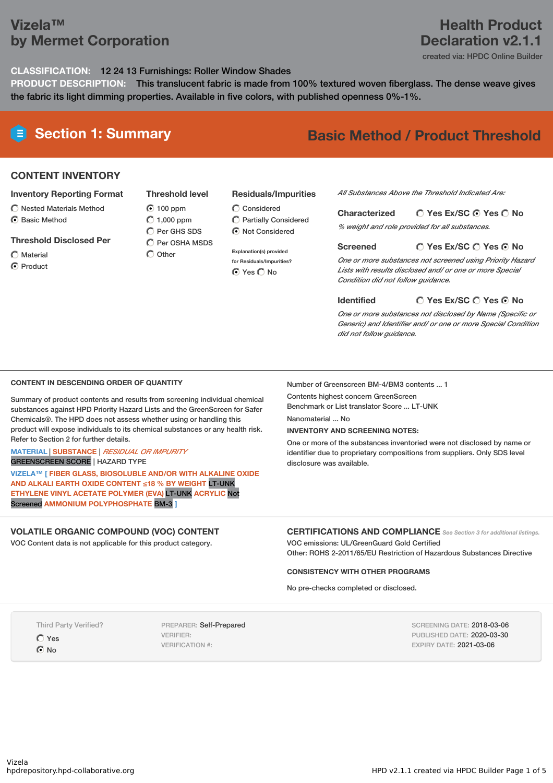## **Vizela™ by Mermet Corporation**

### **Health Product Declaration v2.1.1**

created via: HPDC Online Builder

**CLASSIFICATION:** 12 24 13 Furnishings: Roller Window Shades

**PRODUCT DESCRIPTION:** This translucent fabric is made from 100% textured woven fiberglass. The dense weave gives the fabric its light dimming properties. Available in five colors, with published openness 0%-1%.

# **Section 1: Summary Basic Method / Product Threshold**

#### **CONTENT INVENTORY**

#### **Inventory Reporting Format**

- $\bigcirc$  Nested Materials Method
- **⊙** Basic Method

#### **Threshold Disclosed Per**

Material

**⊙** Product

**Threshold level** 100 ppm  $O$  1,000 ppm C Per GHS SDS  $\bigcap$  Per OSHA MSDS  $\bigcap$  Other

### **Residuals/Impurities**

 $\bigcirc$  Considered Partially Considered  $\odot$  Not Considered

**Explanation(s) provided for Residuals/Impurities?** ⊙ Yes O No

#### *All Substances Above the Threshold Indicated Are:*

**Yes Ex/SC Yes No Characterized** *% weight and role provided for all substances.*

#### **Yes Ex/SC Yes No Screened**

*One or more substances not screened using Priority Hazard Lists with results disclosed and/ or one or more Special Condition did not follow guidance.*

**Identified**

#### **Yes Ex/SC Yes No**

*One or more substances not disclosed by Name (Specific or Generic) and Identifier and/ or one or more Special Condition did not follow guidance.*

#### **CONTENT IN DESCENDING ORDER OF QUANTITY**

Summary of product contents and results from screening individual chemical substances against HPD Priority Hazard Lists and the GreenScreen for Safer Chemicals®. The HPD does not assess whether using or handling this product will expose individuals to its chemical substances or any health risk. Refer to Section 2 for further details.

#### **MATERIAL** | **SUBSTANCE** | *RESIDUAL OR IMPURITY* GREENSCREEN SCORE | HAZARD TYPE

**VIZELA™ [ FIBER GLASS, BIOSOLUBLE AND/OR WITH ALKALINE OXIDE AND ALKALI EARTH OXIDE CONTENT ≤18 % BY WEIGHT** LT-UNK **ETHYLENE VINYL ACETATE POLYMER (EVA)** LT-UNK **ACRYLIC** Not Screened **AMMONIUM POLYPHOSPHATE** BM-3 **]**

#### **VOLATILE ORGANIC COMPOUND (VOC) CONTENT**

VOC Content data is not applicable for this product category.

Number of Greenscreen BM-4/BM3 contents ... 1

Contents highest concern GreenScreen Benchmark or List translator Score ... LT-UNK

Nanomaterial No

#### **INVENTORY AND SCREENING NOTES:**

One or more of the substances inventoried were not disclosed by name or identifier due to proprietary compositions from suppliers. Only SDS level disclosure was available.

#### **CERTIFICATIONS AND COMPLIANCE** *See Section <sup>3</sup> for additional listings.*

VOC emissions: UL/GreenGuard Gold Certified Other: ROHS 2-2011/65/EU Restriction of Hazardous Substances Directive

#### **CONSISTENCY WITH OTHER PROGRAMS**

No pre-checks completed or disclosed.

Third Party Verified?

 $OYes$ 

 $\odot$  No

PREPARER: Self-Prepared VERIFIER: VERIFICATION #:

SCREENING DATE: 2018-03-06 PUBLISHED DATE: 2020-03-30 EXPIRY DATE: 2021-03-06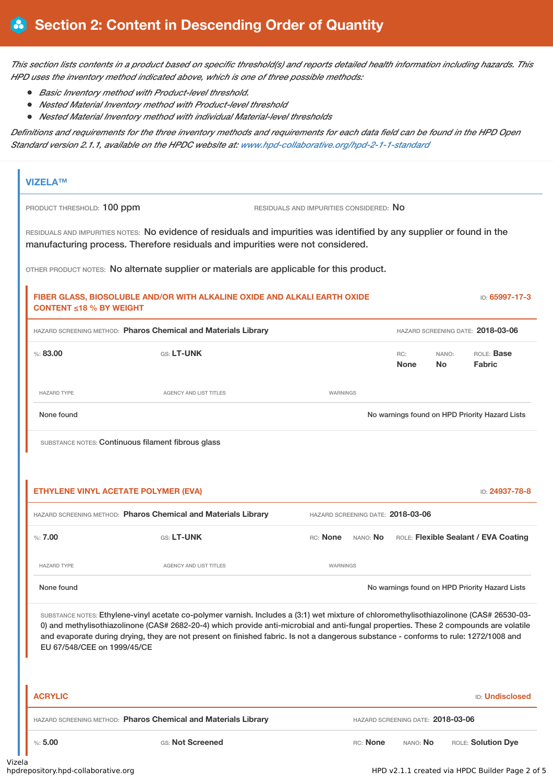This section lists contents in a product based on specific threshold(s) and reports detailed health information including hazards. This *HPD uses the inventory method indicated above, which is one of three possible methods:*

- *Basic Inventory method with Product-level threshold.*
- *Nested Material Inventory method with Product-level threshold*
- *Nested Material Inventory method with individual Material-level thresholds*

Definitions and requirements for the three inventory methods and requirements for each data field can be found in the HPD Open *Standard version 2.1.1, available on the HPDC website at: [www.hpd-collaborative.org/hpd-2-1-1-standard](https://www.hpd-collaborative.org/hpd-2-1-1-standard)*

| PRODUCT THRESHOLD: 100 ppm     |                                                                                                                                                                                                                                                                                                                                                                                                                          | RESIDUALS AND IMPURITIES CONSIDERED: NO |                                   |                                   |                    |                                                                                        |
|--------------------------------|--------------------------------------------------------------------------------------------------------------------------------------------------------------------------------------------------------------------------------------------------------------------------------------------------------------------------------------------------------------------------------------------------------------------------|-----------------------------------------|-----------------------------------|-----------------------------------|--------------------|----------------------------------------------------------------------------------------|
|                                | RESIDUALS AND IMPURITIES NOTES: No evidence of residuals and impurities was identified by any supplier or found in the<br>manufacturing process. Therefore residuals and impurities were not considered.                                                                                                                                                                                                                 |                                         |                                   |                                   |                    |                                                                                        |
|                                | OTHER PRODUCT NOTES: No alternate supplier or materials are applicable for this product.                                                                                                                                                                                                                                                                                                                                 |                                         |                                   |                                   |                    |                                                                                        |
| <b>CONTENT ≤18 % BY WEIGHT</b> | FIBER GLASS, BIOSOLUBLE AND/OR WITH ALKALINE OXIDE AND ALKALI EARTH OXIDE                                                                                                                                                                                                                                                                                                                                                |                                         |                                   |                                   |                    | ID: 65997-17-3                                                                         |
|                                | HAZARD SCREENING METHOD: Pharos Chemical and Materials Library                                                                                                                                                                                                                                                                                                                                                           |                                         |                                   |                                   |                    | HAZARD SCREENING DATE: 2018-03-06                                                      |
| % : 83,00                      | GS: LT-UNK                                                                                                                                                                                                                                                                                                                                                                                                               |                                         |                                   | RC:<br><b>None</b>                | NANO:<br><b>No</b> | ROLE: Base<br><b>Fabric</b>                                                            |
| <b>HAZARD TYPE</b>             | <b>AGENCY AND LIST TITLES</b>                                                                                                                                                                                                                                                                                                                                                                                            | WARNINGS                                |                                   |                                   |                    |                                                                                        |
| None found                     |                                                                                                                                                                                                                                                                                                                                                                                                                          |                                         |                                   |                                   |                    | No warnings found on HPD Priority Hazard Lists                                         |
|                                | SUBSTANCE NOTES: Continuous filament fibrous glass<br><b>ETHYLENE VINYL ACETATE POLYMER (EVA)</b>                                                                                                                                                                                                                                                                                                                        |                                         |                                   |                                   |                    | ID: 24937-78-8                                                                         |
|                                | HAZARD SCREENING METHOD: Pharos Chemical and Materials Library                                                                                                                                                                                                                                                                                                                                                           |                                         | HAZARD SCREENING DATE: 2018-03-06 |                                   |                    |                                                                                        |
| %:7.00                         | GS: LT-UNK                                                                                                                                                                                                                                                                                                                                                                                                               |                                         | RC: <b>None</b> NANO: <b>No</b>   |                                   |                    |                                                                                        |
| <b>HAZARD TYPE</b>             | <b>AGENCY AND LIST TITLES</b>                                                                                                                                                                                                                                                                                                                                                                                            | WARNINGS                                |                                   |                                   |                    |                                                                                        |
| None found                     |                                                                                                                                                                                                                                                                                                                                                                                                                          |                                         |                                   |                                   |                    | ROLE: Flexible Sealant / EVA Coating<br>No warnings found on HPD Priority Hazard Lists |
| EU 67/548/CEE on 1999/45/CE    | SUBSTANCE NOTES: Ethylene-vinyl acetate co-polymer varnish. Includes a (3:1) wet mixture of chloromethylisothiazolinone (CAS# 26530-03-<br>0) and methylisothiazolinone (CAS# 2682-20-4) which provide anti-microbial and anti-fungal properties. These 2 compounds are volatile<br>and evaporate during drying, they are not present on finished fabric. Is not a dangerous substance - conforms to rule: 1272/1008 and |                                         |                                   |                                   |                    |                                                                                        |
| <b>ACRYLIC</b>                 |                                                                                                                                                                                                                                                                                                                                                                                                                          |                                         |                                   |                                   |                    |                                                                                        |
|                                | HAZARD SCREENING METHOD: Pharos Chemical and Materials Library                                                                                                                                                                                                                                                                                                                                                           |                                         |                                   | HAZARD SCREENING DATE: 2018-03-06 |                    | <b>ID: Undisclosed</b>                                                                 |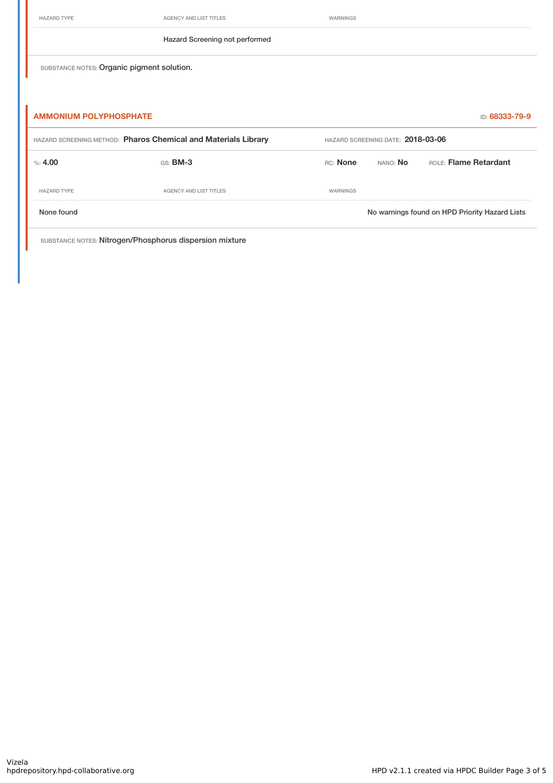| IAZARD T |  |
|----------|--|
|----------|--|

AGENCY AND LIST TITLES WARNINGS

#### Hazard Screening not performed

SUBSTANCE NOTES: Organic pigment solution.

| <b>AMMONIUM POLYPHOSPHATE</b>                                  |                        |                 |                                   | ID: 68333-79-9                                 |  |  |
|----------------------------------------------------------------|------------------------|-----------------|-----------------------------------|------------------------------------------------|--|--|
| HAZARD SCREENING METHOD: Pharos Chemical and Materials Library |                        |                 | HAZARD SCREENING DATE: 2018-03-06 |                                                |  |  |
| $\%$ : 4.00                                                    | $GS:$ BM-3             | <b>RC:</b> None | NANO: No                          | <b>ROLE: Flame Retardant</b>                   |  |  |
| <b>HAZARD TYPE</b>                                             | AGENCY AND LIST TITLES | WARNINGS        |                                   |                                                |  |  |
| None found                                                     |                        |                 |                                   | No warnings found on HPD Priority Hazard Lists |  |  |

SUBSTANCE NOTES: Nitrogen/Phosphorus dispersion mixture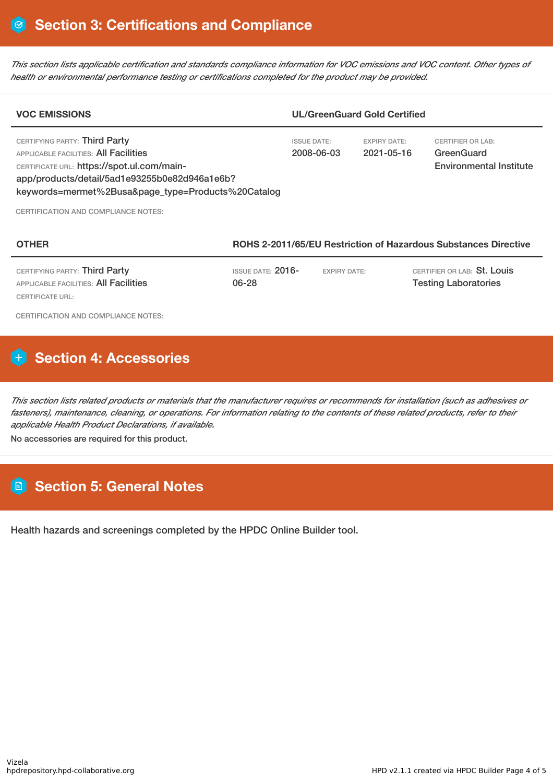This section lists applicable certification and standards compliance information for VOC emissions and VOC content. Other types of *health or environmental performance testing or certifications completed for the product may be provided.*

| <b>VOC EMISSIONS</b>                                                                                                                                                                                                        |                                                                 |                                  | <b>UL/GreenGuard Gold Certified</b> |                                                                          |
|-----------------------------------------------------------------------------------------------------------------------------------------------------------------------------------------------------------------------------|-----------------------------------------------------------------|----------------------------------|-------------------------------------|--------------------------------------------------------------------------|
| CERTIFYING PARTY: Third Party<br>APPLICABLE FACILITIES: All Facilities<br>CERTIFICATE URL: https://spot.ul.com/main-<br>app/products/detail/5ad1e93255b0e82d946a1e6b?<br>keywords=mermet%2Busa&page_type=Products%20Catalog |                                                                 | <b>ISSUE DATE:</b><br>2008-06-03 | <b>EXPIRY DATE:</b><br>2021-05-16   | <b>CERTIFIER OR LAB:</b><br>GreenGuard<br><b>Environmental Institute</b> |
| <b>CERTIFICATION AND COMPLIANCE NOTES:</b>                                                                                                                                                                                  |                                                                 |                                  |                                     |                                                                          |
| <b>OTHER</b>                                                                                                                                                                                                                | ROHS 2-2011/65/EU Restriction of Hazardous Substances Directive |                                  |                                     |                                                                          |

| CERTIFYING PARTY: <b>Third Party</b>  | ISSUE DATE: $2016\hbox{-}$ | <b>EXPIRY DATE:</b> | CERTIFIER OR LAB: <b>St. Louis</b> |  |
|---------------------------------------|----------------------------|---------------------|------------------------------------|--|
| APPLICABLE FACILITIES: All Facilities | 06-28                      |                     | <b>Testing Laboratories</b>        |  |
| CERTIFICATE URL:                      |                            |                     |                                    |  |

CERTIFICATION AND COMPLIANCE NOTES:

## **H** Section 4: Accessories

This section lists related products or materials that the manufacturer requires or recommends for installation (such as adhesives or fasteners), maintenance, cleaning, or operations. For information relating to the contents of these related products, refer to their *applicable Health Product Declarations, if available.* No accessories are required for this product.

### **Section 5: General Notes**

Health hazards and screenings completed by the HPDC Online Builder tool.